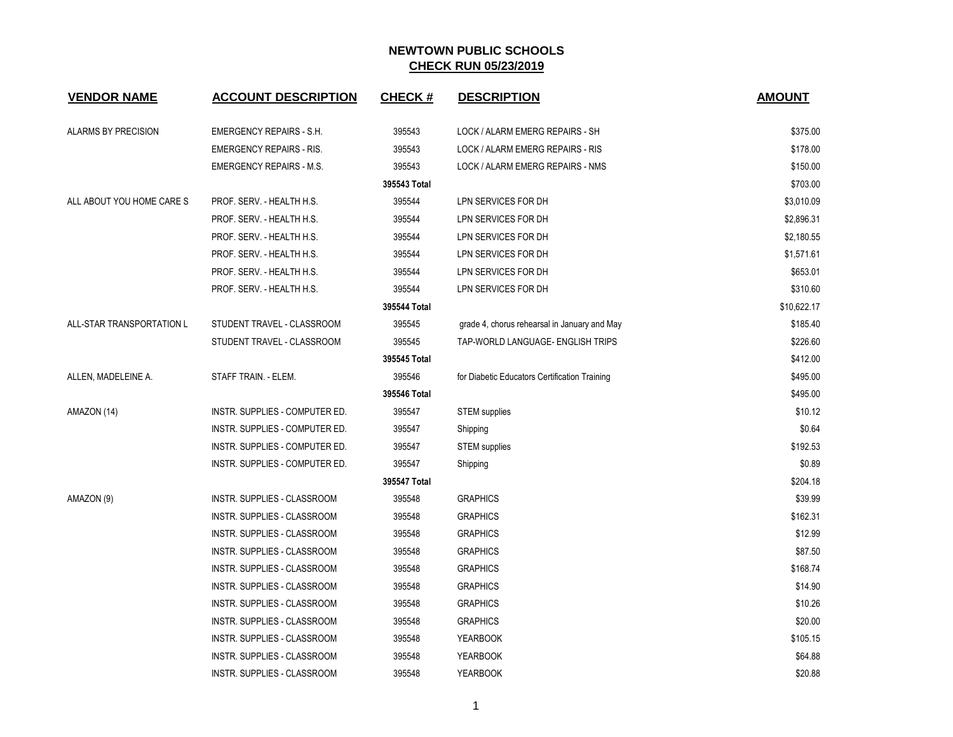| <b>VENDOR NAME</b>         | <b>ACCOUNT DESCRIPTION</b>      | <b>CHECK#</b> | <b>DESCRIPTION</b>                            | <b>AMOUNT</b> |
|----------------------------|---------------------------------|---------------|-----------------------------------------------|---------------|
| <b>ALARMS BY PRECISION</b> | <b>EMERGENCY REPAIRS - S.H.</b> | 395543        | LOCK / ALARM EMERG REPAIRS - SH               | \$375.00      |
|                            | <b>EMERGENCY REPAIRS - RIS.</b> | 395543        | LOCK / ALARM EMERG REPAIRS - RIS              | \$178.00      |
|                            | <b>EMERGENCY REPAIRS - M.S.</b> | 395543        | LOCK / ALARM EMERG REPAIRS - NMS              | \$150.00      |
|                            |                                 | 395543 Total  |                                               | \$703.00      |
| ALL ABOUT YOU HOME CARE S  | PROF. SERV. - HEALTH H.S.       | 395544        | LPN SERVICES FOR DH                           | \$3,010.09    |
|                            | PROF. SERV. - HEALTH H.S.       | 395544        | LPN SERVICES FOR DH                           | \$2,896.31    |
|                            | PROF. SERV. - HEALTH H.S.       | 395544        | LPN SERVICES FOR DH                           | \$2,180.55    |
|                            | PROF. SERV. - HEALTH H.S.       | 395544        | LPN SERVICES FOR DH                           | \$1,571.61    |
|                            | PROF. SERV. - HEALTH H.S.       | 395544        | LPN SERVICES FOR DH                           | \$653.01      |
|                            | PROF. SERV. - HEALTH H.S.       | 395544        | LPN SERVICES FOR DH                           | \$310.60      |
|                            |                                 | 395544 Total  |                                               | \$10,622.17   |
| ALL-STAR TRANSPORTATION L  | STUDENT TRAVEL - CLASSROOM      | 395545        | grade 4, chorus rehearsal in January and May  | \$185.40      |
|                            | STUDENT TRAVEL - CLASSROOM      | 395545        | TAP-WORLD LANGUAGE- ENGLISH TRIPS             | \$226.60      |
|                            |                                 | 395545 Total  |                                               | \$412.00      |
| ALLEN, MADELEINE A.        | STAFF TRAIN. - ELEM.            | 395546        | for Diabetic Educators Certification Training | \$495.00      |
|                            |                                 | 395546 Total  |                                               | \$495.00      |
| AMAZON (14)                | INSTR. SUPPLIES - COMPUTER ED.  | 395547        | <b>STEM</b> supplies                          | \$10.12       |
|                            | INSTR. SUPPLIES - COMPUTER ED.  | 395547        | Shipping                                      | \$0.64        |
|                            | INSTR. SUPPLIES - COMPUTER ED.  | 395547        | <b>STEM</b> supplies                          | \$192.53      |
|                            | INSTR. SUPPLIES - COMPUTER ED.  | 395547        | Shipping                                      | \$0.89        |
|                            |                                 | 395547 Total  |                                               | \$204.18      |
| AMAZON (9)                 | INSTR. SUPPLIES - CLASSROOM     | 395548        | <b>GRAPHICS</b>                               | \$39.99       |
|                            | INSTR. SUPPLIES - CLASSROOM     | 395548        | <b>GRAPHICS</b>                               | \$162.31      |
|                            | INSTR. SUPPLIES - CLASSROOM     | 395548        | <b>GRAPHICS</b>                               | \$12.99       |
|                            | INSTR. SUPPLIES - CLASSROOM     | 395548        | <b>GRAPHICS</b>                               | \$87.50       |
|                            | INSTR. SUPPLIES - CLASSROOM     | 395548        | <b>GRAPHICS</b>                               | \$168.74      |
|                            | INSTR. SUPPLIES - CLASSROOM     | 395548        | <b>GRAPHICS</b>                               | \$14.90       |
|                            | INSTR. SUPPLIES - CLASSROOM     | 395548        | <b>GRAPHICS</b>                               | \$10.26       |
|                            | INSTR. SUPPLIES - CLASSROOM     | 395548        | <b>GRAPHICS</b>                               | \$20.00       |
|                            | INSTR. SUPPLIES - CLASSROOM     | 395548        | <b>YEARBOOK</b>                               | \$105.15      |
|                            | INSTR. SUPPLIES - CLASSROOM     | 395548        | <b>YEARBOOK</b>                               | \$64.88       |
|                            | INSTR. SUPPLIES - CLASSROOM     | 395548        | <b>YEARBOOK</b>                               | \$20.88       |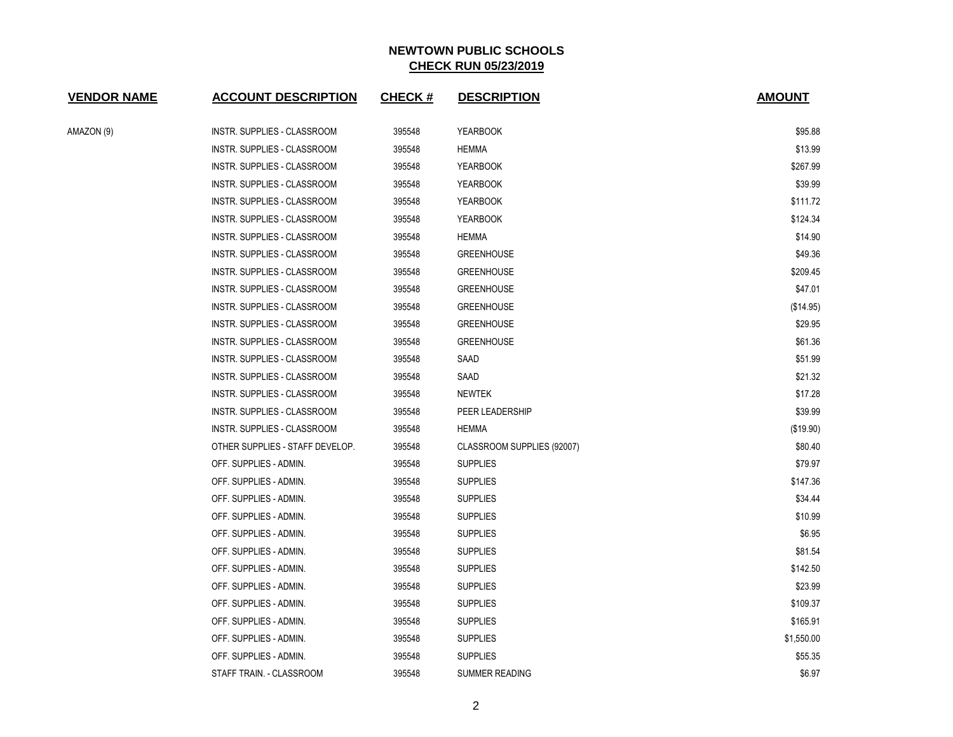| <b>VENDOR NAME</b> | <b>ACCOUNT DESCRIPTION</b>      | CHECK $#$ | <b>DESCRIPTION</b>         | <b>AMOUNT</b> |
|--------------------|---------------------------------|-----------|----------------------------|---------------|
| AMAZON (9)         | INSTR. SUPPLIES - CLASSROOM     | 395548    | <b>YEARBOOK</b>            | \$95.88       |
|                    | INSTR. SUPPLIES - CLASSROOM     | 395548    | HEMMA                      | \$13.99       |
|                    | INSTR. SUPPLIES - CLASSROOM     | 395548    | <b>YEARBOOK</b>            | \$267.99      |
|                    | INSTR. SUPPLIES - CLASSROOM     | 395548    | YEARBOOK                   | \$39.99       |
|                    | INSTR. SUPPLIES - CLASSROOM     | 395548    | <b>YEARBOOK</b>            | \$111.72      |
|                    | INSTR. SUPPLIES - CLASSROOM     | 395548    | <b>YEARBOOK</b>            | \$124.34      |
|                    | INSTR. SUPPLIES - CLASSROOM     | 395548    | <b>HEMMA</b>               | \$14.90       |
|                    | INSTR. SUPPLIES - CLASSROOM     | 395548    | <b>GREENHOUSE</b>          | \$49.36       |
|                    | INSTR. SUPPLIES - CLASSROOM     | 395548    | <b>GREENHOUSE</b>          | \$209.45      |
|                    | INSTR. SUPPLIES - CLASSROOM     | 395548    | <b>GREENHOUSE</b>          | \$47.01       |
|                    | INSTR. SUPPLIES - CLASSROOM     | 395548    | <b>GREENHOUSE</b>          | (\$14.95)     |
|                    | INSTR. SUPPLIES - CLASSROOM     | 395548    | <b>GREENHOUSE</b>          | \$29.95       |
|                    | INSTR. SUPPLIES - CLASSROOM     | 395548    | <b>GREENHOUSE</b>          | \$61.36       |
|                    | INSTR. SUPPLIES - CLASSROOM     | 395548    | SAAD                       | \$51.99       |
|                    | INSTR. SUPPLIES - CLASSROOM     | 395548    | SAAD                       | \$21.32       |
|                    | INSTR. SUPPLIES - CLASSROOM     | 395548    | NEWTEK                     | \$17.28       |
|                    | INSTR. SUPPLIES - CLASSROOM     | 395548    | PEER LEADERSHIP            | \$39.99       |
|                    | INSTR. SUPPLIES - CLASSROOM     | 395548    | <b>HEMMA</b>               | (\$19.90)     |
|                    | OTHER SUPPLIES - STAFF DEVELOP. | 395548    | CLASSROOM SUPPLIES (92007) | \$80.40       |
|                    | OFF. SUPPLIES - ADMIN.          | 395548    | <b>SUPPLIES</b>            | \$79.97       |
|                    | OFF. SUPPLIES - ADMIN.          | 395548    | <b>SUPPLIES</b>            | \$147.36      |
|                    | OFF. SUPPLIES - ADMIN.          | 395548    | <b>SUPPLIES</b>            | \$34.44       |
|                    | OFF. SUPPLIES - ADMIN.          | 395548    | <b>SUPPLIES</b>            | \$10.99       |
|                    | OFF. SUPPLIES - ADMIN.          | 395548    | <b>SUPPLIES</b>            | \$6.95        |
|                    | OFF. SUPPLIES - ADMIN.          | 395548    | <b>SUPPLIES</b>            | \$81.54       |
|                    | OFF. SUPPLIES - ADMIN.          | 395548    | <b>SUPPLIES</b>            | \$142.50      |
|                    | OFF. SUPPLIES - ADMIN.          | 395548    | <b>SUPPLIES</b>            | \$23.99       |
|                    | OFF. SUPPLIES - ADMIN.          | 395548    | <b>SUPPLIES</b>            | \$109.37      |
|                    | OFF. SUPPLIES - ADMIN.          | 395548    | <b>SUPPLIES</b>            | \$165.91      |
|                    | OFF. SUPPLIES - ADMIN.          | 395548    | <b>SUPPLIES</b>            | \$1,550.00    |
|                    | OFF. SUPPLIES - ADMIN.          | 395548    | <b>SUPPLIES</b>            | \$55.35       |
|                    | STAFF TRAIN. - CLASSROOM        | 395548    | <b>SUMMER READING</b>      | \$6.97        |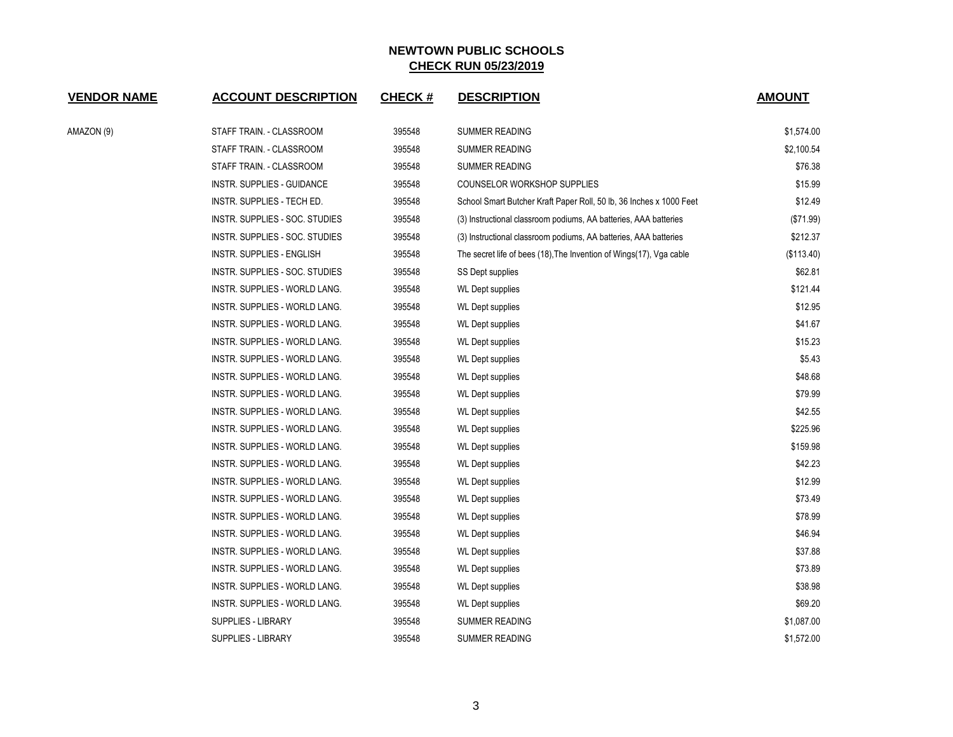| <b>VENDOR NAME</b> | <b>ACCOUNT DESCRIPTION</b>     | <b>CHECK#</b> | <b>DESCRIPTION</b>                                                   | <b>AMOUNT</b> |
|--------------------|--------------------------------|---------------|----------------------------------------------------------------------|---------------|
| AMAZON (9)         | STAFF TRAIN. - CLASSROOM       | 395548        | SUMMER READING                                                       | \$1,574.00    |
|                    | STAFF TRAIN. - CLASSROOM       | 395548        | SUMMER READING                                                       | \$2,100.54    |
|                    | STAFF TRAIN. - CLASSROOM       | 395548        | SUMMER READING                                                       | \$76.38       |
|                    | INSTR. SUPPLIES - GUIDANCE     | 395548        | <b>COUNSELOR WORKSHOP SUPPLIES</b>                                   | \$15.99       |
|                    | INSTR. SUPPLIES - TECH ED.     | 395548        | School Smart Butcher Kraft Paper Roll, 50 lb, 36 Inches x 1000 Feet  | \$12.49       |
|                    | INSTR. SUPPLIES - SOC. STUDIES | 395548        | (3) Instructional classroom podiums, AA batteries, AAA batteries     | (\$71.99)     |
|                    | INSTR. SUPPLIES - SOC. STUDIES | 395548        | (3) Instructional classroom podiums, AA batteries, AAA batteries     | \$212.37      |
|                    | INSTR. SUPPLIES - ENGLISH      | 395548        | The secret life of bees (18), The Invention of Wings (17), Vga cable | (\$113.40)    |
|                    | INSTR. SUPPLIES - SOC. STUDIES | 395548        | SS Dept supplies                                                     | \$62.81       |
|                    | INSTR. SUPPLIES - WORLD LANG.  | 395548        | <b>WL Dept supplies</b>                                              | \$121.44      |
|                    | INSTR. SUPPLIES - WORLD LANG.  | 395548        | <b>WL Dept supplies</b>                                              | \$12.95       |
|                    | INSTR. SUPPLIES - WORLD LANG.  | 395548        | <b>WL Dept supplies</b>                                              | \$41.67       |
|                    | INSTR. SUPPLIES - WORLD LANG.  | 395548        | <b>WL Dept supplies</b>                                              | \$15.23       |
|                    | INSTR. SUPPLIES - WORLD LANG.  | 395548        | <b>WL Dept supplies</b>                                              | \$5.43        |
|                    | INSTR. SUPPLIES - WORLD LANG.  | 395548        | <b>WL Dept supplies</b>                                              | \$48.68       |
|                    | INSTR. SUPPLIES - WORLD LANG.  | 395548        | <b>WL Dept supplies</b>                                              | \$79.99       |
|                    | INSTR. SUPPLIES - WORLD LANG.  | 395548        | <b>WL Dept supplies</b>                                              | \$42.55       |
|                    | INSTR. SUPPLIES - WORLD LANG.  | 395548        | <b>WL Dept supplies</b>                                              | \$225.96      |
|                    | INSTR. SUPPLIES - WORLD LANG.  | 395548        | <b>WL Dept supplies</b>                                              | \$159.98      |
|                    | INSTR. SUPPLIES - WORLD LANG.  | 395548        | <b>WL Dept supplies</b>                                              | \$42.23       |
|                    | INSTR. SUPPLIES - WORLD LANG.  | 395548        | <b>WL Dept supplies</b>                                              | \$12.99       |
|                    | INSTR. SUPPLIES - WORLD LANG.  | 395548        | <b>WL Dept supplies</b>                                              | \$73.49       |
|                    | INSTR. SUPPLIES - WORLD LANG.  | 395548        | <b>WL Dept supplies</b>                                              | \$78.99       |
|                    | INSTR. SUPPLIES - WORLD LANG.  | 395548        | <b>WL Dept supplies</b>                                              | \$46.94       |
|                    | INSTR. SUPPLIES - WORLD LANG.  | 395548        | <b>WL Dept supplies</b>                                              | \$37.88       |
|                    | INSTR. SUPPLIES - WORLD LANG.  | 395548        | <b>WL Dept supplies</b>                                              | \$73.89       |
|                    | INSTR. SUPPLIES - WORLD LANG.  | 395548        | <b>WL Dept supplies</b>                                              | \$38.98       |
|                    | INSTR. SUPPLIES - WORLD LANG.  | 395548        | <b>WL Dept supplies</b>                                              | \$69.20       |
|                    | SUPPLIES - LIBRARY             | 395548        | SUMMER READING                                                       | \$1,087.00    |
|                    | SUPPLIES - LIBRARY             | 395548        | <b>SUMMER READING</b>                                                | \$1,572.00    |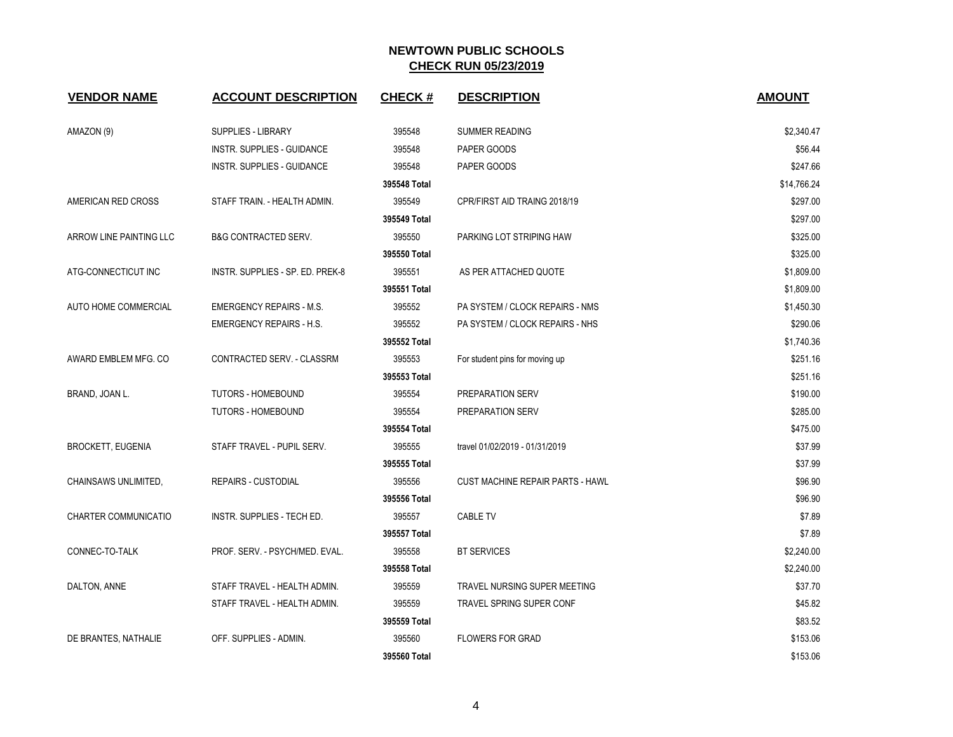| <b>VENDOR NAME</b>          | <b>ACCOUNT DESCRIPTION</b>       | <b>CHECK#</b> | <b>DESCRIPTION</b>                      | <b>AMOUNT</b> |
|-----------------------------|----------------------------------|---------------|-----------------------------------------|---------------|
| AMAZON (9)                  | <b>SUPPLIES - LIBRARY</b>        | 395548        | <b>SUMMER READING</b>                   | \$2,340.47    |
|                             | INSTR. SUPPLIES - GUIDANCE       | 395548        | PAPER GOODS                             | \$56.44       |
|                             | INSTR. SUPPLIES - GUIDANCE       | 395548        | PAPER GOODS                             | \$247.66      |
|                             |                                  | 395548 Total  |                                         | \$14,766.24   |
| AMERICAN RED CROSS          | STAFF TRAIN. - HEALTH ADMIN.     | 395549        | CPR/FIRST AID TRAING 2018/19            | \$297.00      |
|                             |                                  | 395549 Total  |                                         | \$297.00      |
| ARROW LINE PAINTING LLC     | <b>B&amp;G CONTRACTED SERV.</b>  | 395550        | PARKING LOT STRIPING HAW                | \$325.00      |
|                             |                                  | 395550 Total  |                                         | \$325.00      |
| ATG-CONNECTICUT INC         | INSTR. SUPPLIES - SP. ED. PREK-8 | 395551        | AS PER ATTACHED QUOTE                   | \$1,809.00    |
|                             |                                  | 395551 Total  |                                         | \$1,809.00    |
| AUTO HOME COMMERCIAL        | <b>EMERGENCY REPAIRS - M.S.</b>  | 395552        | PA SYSTEM / CLOCK REPAIRS - NMS         | \$1,450.30    |
|                             | <b>EMERGENCY REPAIRS - H.S.</b>  | 395552        | PA SYSTEM / CLOCK REPAIRS - NHS         | \$290.06      |
|                             |                                  | 395552 Total  |                                         | \$1,740.36    |
| AWARD EMBLEM MFG. CO        | CONTRACTED SERV. - CLASSRM       | 395553        | For student pins for moving up          | \$251.16      |
|                             |                                  | 395553 Total  |                                         | \$251.16      |
| BRAND, JOAN L.              | <b>TUTORS - HOMEBOUND</b>        | 395554        | PREPARATION SERV                        | \$190.00      |
|                             | <b>TUTORS - HOMEBOUND</b>        | 395554        | PREPARATION SERV                        | \$285.00      |
|                             |                                  | 395554 Total  |                                         | \$475.00      |
| <b>BROCKETT, EUGENIA</b>    | STAFF TRAVEL - PUPIL SERV.       | 395555        | travel 01/02/2019 - 01/31/2019          | \$37.99       |
|                             |                                  | 395555 Total  |                                         | \$37.99       |
| CHAINSAWS UNLIMITED.        | <b>REPAIRS - CUSTODIAL</b>       | 395556        | <b>CUST MACHINE REPAIR PARTS - HAWL</b> | \$96.90       |
|                             |                                  | 395556 Total  |                                         | \$96.90       |
| <b>CHARTER COMMUNICATIO</b> | INSTR. SUPPLIES - TECH ED.       | 395557        | <b>CABLE TV</b>                         | \$7.89        |
|                             |                                  | 395557 Total  |                                         | \$7.89        |
| CONNEC-TO-TALK              | PROF. SERV. - PSYCH/MED. EVAL.   | 395558        | <b>BT SERVICES</b>                      | \$2,240.00    |
|                             |                                  | 395558 Total  |                                         | \$2,240.00    |
| DALTON, ANNE                | STAFF TRAVEL - HEALTH ADMIN.     | 395559        | TRAVEL NURSING SUPER MEETING            | \$37.70       |
|                             | STAFF TRAVEL - HEALTH ADMIN.     | 395559        | <b>TRAVEL SPRING SUPER CONF</b>         | \$45.82       |
|                             |                                  | 395559 Total  |                                         | \$83.52       |
| DE BRANTES, NATHALIE        | OFF. SUPPLIES - ADMIN.           | 395560        | <b>FLOWERS FOR GRAD</b>                 | \$153.06      |
|                             |                                  | 395560 Total  |                                         | \$153.06      |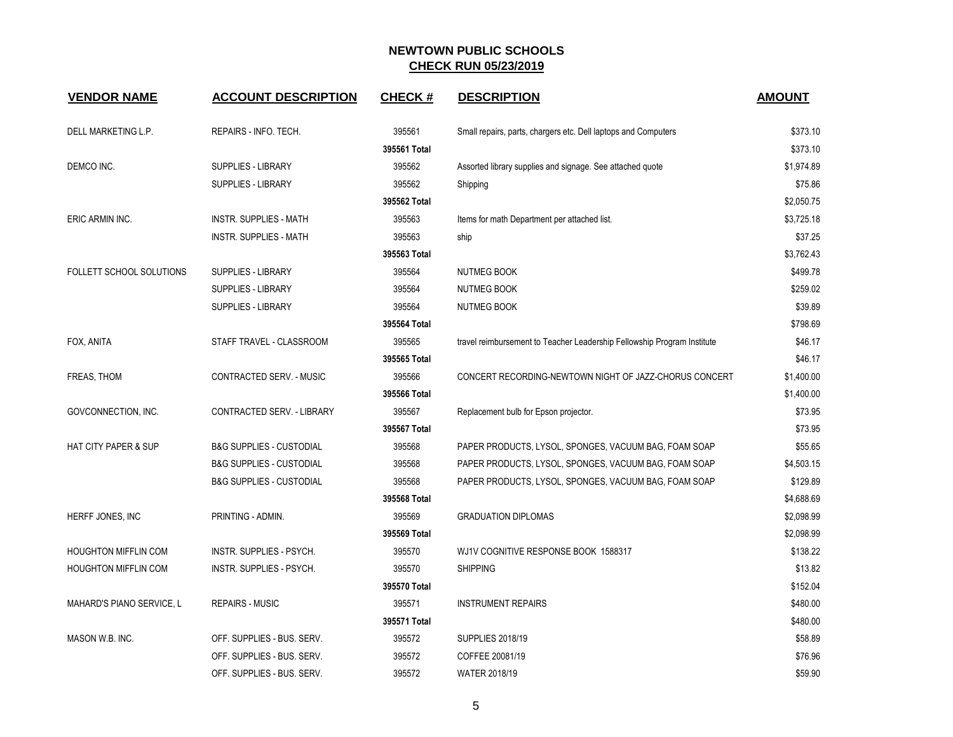| <b>VENDOR NAME</b>              | <b>ACCOUNT DESCRIPTION</b>          | <b>CHECK#</b> | <b>DESCRIPTION</b>                                                      | <b>AMOUNT</b> |
|---------------------------------|-------------------------------------|---------------|-------------------------------------------------------------------------|---------------|
| DELL MARKETING L.P.             | REPAIRS - INFO. TECH.               | 395561        | Small repairs, parts, chargers etc. Dell laptops and Computers          | \$373.10      |
|                                 |                                     | 395561 Total  |                                                                         | \$373.10      |
| DEMCO INC.                      | SUPPLIES - LIBRARY                  | 395562        | Assorted library supplies and signage. See attached quote               | \$1,974.89    |
|                                 | SUPPLIES - LIBRARY                  | 395562        | Shipping                                                                | \$75.86       |
|                                 |                                     | 395562 Total  |                                                                         | \$2,050.75    |
| ERIC ARMIN INC.                 | INSTR. SUPPLIES - MATH              | 395563        | Items for math Department per attached list.                            | \$3,725.18    |
|                                 | <b>INSTR. SUPPLIES - MATH</b>       | 395563        | ship                                                                    | \$37.25       |
|                                 |                                     | 395563 Total  |                                                                         | \$3,762.43    |
| FOLLETT SCHOOL SOLUTIONS        | SUPPLIES - LIBRARY                  | 395564        | <b>NUTMEG BOOK</b>                                                      | \$499.78      |
|                                 | SUPPLIES - LIBRARY                  | 395564        | <b>NUTMEG BOOK</b>                                                      | \$259.02      |
|                                 | SUPPLIES - LIBRARY                  | 395564        | <b>NUTMEG BOOK</b>                                                      | \$39.89       |
|                                 |                                     | 395564 Total  |                                                                         | \$798.69      |
| FOX, ANITA                      | STAFF TRAVEL - CLASSROOM            | 395565        | travel reimbursement to Teacher Leadership Fellowship Program Institute | \$46.17       |
|                                 |                                     | 395565 Total  |                                                                         | \$46.17       |
| FREAS, THOM                     | CONTRACTED SERV. - MUSIC            | 395566        | CONCERT RECORDING-NEWTOWN NIGHT OF JAZZ-CHORUS CONCERT                  | \$1,400.00    |
|                                 |                                     | 395566 Total  |                                                                         | \$1,400.00    |
| GOVCONNECTION, INC.             | CONTRACTED SERV. - LIBRARY          | 395567        | Replacement bulb for Epson projector.                                   | \$73.95       |
|                                 |                                     | 395567 Total  |                                                                         | \$73.95       |
| <b>HAT CITY PAPER &amp; SUP</b> | <b>B&amp;G SUPPLIES - CUSTODIAL</b> | 395568        | PAPER PRODUCTS, LYSOL, SPONGES, VACUUM BAG, FOAM SOAP                   | \$55.65       |
|                                 | <b>B&amp;G SUPPLIES - CUSTODIAL</b> | 395568        | PAPER PRODUCTS, LYSOL, SPONGES, VACUUM BAG, FOAM SOAP                   | \$4,503.15    |
|                                 | <b>B&amp;G SUPPLIES - CUSTODIAL</b> | 395568        | PAPER PRODUCTS, LYSOL, SPONGES, VACUUM BAG, FOAM SOAP                   | \$129.89      |
|                                 |                                     | 395568 Total  |                                                                         | \$4,688.69    |
| HERFF JONES, INC                | PRINTING - ADMIN.                   | 395569        | <b>GRADUATION DIPLOMAS</b>                                              | \$2,098.99    |
|                                 |                                     | 395569 Total  |                                                                         | \$2,098.99    |
| <b>HOUGHTON MIFFLIN COM</b>     | INSTR. SUPPLIES - PSYCH.            | 395570        | WJ1V COGNITIVE RESPONSE BOOK 1588317                                    | \$138.22      |
| <b>HOUGHTON MIFFLIN COM</b>     | INSTR. SUPPLIES - PSYCH.            | 395570        | <b>SHIPPING</b>                                                         | \$13.82       |
|                                 |                                     | 395570 Total  |                                                                         | \$152.04      |
| MAHARD'S PIANO SERVICE, L       | <b>REPAIRS - MUSIC</b>              | 395571        | <b>INSTRUMENT REPAIRS</b>                                               | \$480.00      |
|                                 |                                     | 395571 Total  |                                                                         | \$480.00      |
| MASON W.B. INC.                 | OFF. SUPPLIES - BUS. SERV.          | 395572        | SUPPLIES 2018/19                                                        | \$58.89       |
|                                 | OFF. SUPPLIES - BUS. SERV.          | 395572        | COFFEE 20081/19                                                         | \$76.96       |
|                                 | OFF. SUPPLIES - BUS. SERV.          | 395572        | <b>WATER 2018/19</b>                                                    | \$59.90       |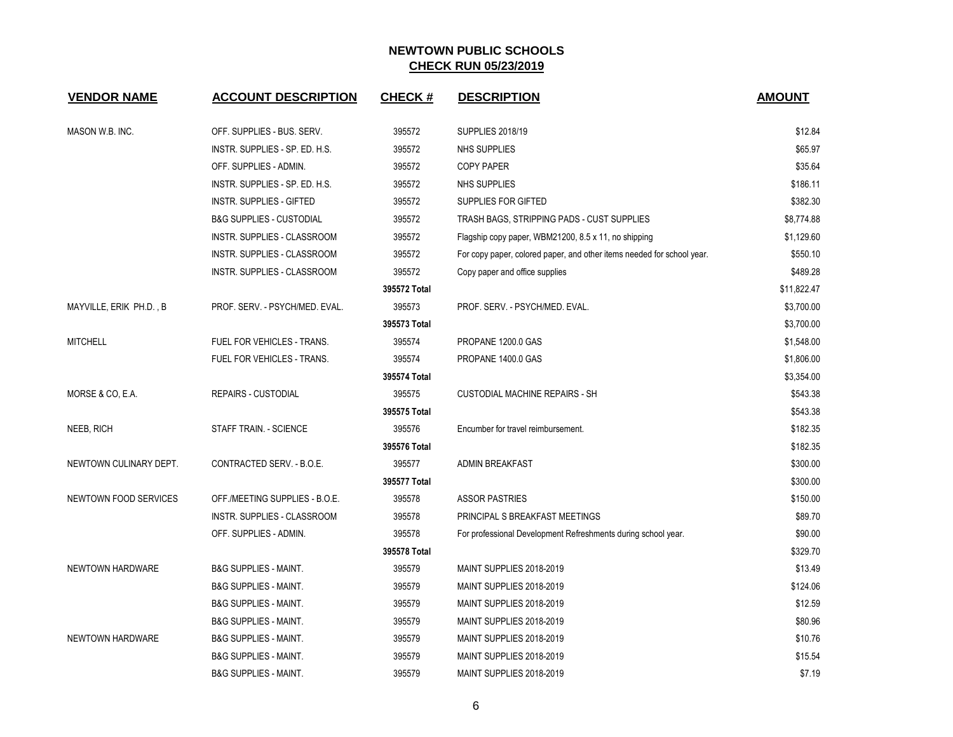| <b>VENDOR NAME</b>           | <b>ACCOUNT DESCRIPTION</b>          | <b>CHECK#</b> | <b>DESCRIPTION</b>                                                     | <b>AMOUNT</b> |
|------------------------------|-------------------------------------|---------------|------------------------------------------------------------------------|---------------|
| MASON W.B. INC.              | OFF. SUPPLIES - BUS. SERV.          | 395572        | <b>SUPPLIES 2018/19</b>                                                | \$12.84       |
|                              | INSTR. SUPPLIES - SP. ED. H.S.      | 395572        | NHS SUPPLIES                                                           | \$65.97       |
|                              | OFF. SUPPLIES - ADMIN.              | 395572        | <b>COPY PAPER</b>                                                      | \$35.64       |
|                              | INSTR. SUPPLIES - SP. ED. H.S.      | 395572        | <b>NHS SUPPLIES</b>                                                    | \$186.11      |
|                              | INSTR. SUPPLIES - GIFTED            | 395572        | SUPPLIES FOR GIFTED                                                    | \$382.30      |
|                              | <b>B&amp;G SUPPLIES - CUSTODIAL</b> | 395572        | TRASH BAGS, STRIPPING PADS - CUST SUPPLIES                             | \$8,774.88    |
|                              | INSTR. SUPPLIES - CLASSROOM         | 395572        | Flagship copy paper, WBM21200, 8.5 x 11, no shipping                   | \$1,129.60    |
|                              | INSTR. SUPPLIES - CLASSROOM         | 395572        | For copy paper, colored paper, and other items needed for school year. | \$550.10      |
|                              | INSTR. SUPPLIES - CLASSROOM         | 395572        | Copy paper and office supplies                                         | \$489.28      |
|                              |                                     | 395572 Total  |                                                                        | \$11,822.47   |
| MAYVILLE, ERIK PH.D., B      | PROF. SERV. - PSYCH/MED. EVAL.      | 395573        | PROF. SERV. - PSYCH/MED. EVAL.                                         | \$3,700.00    |
|                              |                                     | 395573 Total  |                                                                        | \$3,700.00    |
| <b>MITCHELL</b>              | FUEL FOR VEHICLES - TRANS.          | 395574        | PROPANE 1200.0 GAS                                                     | \$1,548.00    |
|                              | FUEL FOR VEHICLES - TRANS.          | 395574        | PROPANE 1400.0 GAS                                                     | \$1,806.00    |
|                              |                                     | 395574 Total  |                                                                        | \$3,354.00    |
| MORSE & CO, E.A.             | <b>REPAIRS - CUSTODIAL</b>          | 395575        | <b>CUSTODIAL MACHINE REPAIRS - SH</b>                                  | \$543.38      |
|                              |                                     | 395575 Total  |                                                                        | \$543.38      |
| NEEB, RICH                   | STAFF TRAIN. - SCIENCE              | 395576        | Encumber for travel reimbursement.                                     | \$182.35      |
|                              |                                     | 395576 Total  |                                                                        | \$182.35      |
| NEWTOWN CULINARY DEPT.       | CONTRACTED SERV. - B.O.E.           | 395577        | <b>ADMIN BREAKFAST</b>                                                 | \$300.00      |
|                              |                                     | 395577 Total  |                                                                        | \$300.00      |
| <b>NEWTOWN FOOD SERVICES</b> | OFF./MEETING SUPPLIES - B.O.E.      | 395578        | <b>ASSOR PASTRIES</b>                                                  | \$150.00      |
|                              | INSTR. SUPPLIES - CLASSROOM         | 395578        | PRINCIPAL S BREAKFAST MEETINGS                                         | \$89.70       |
|                              | OFF. SUPPLIES - ADMIN.              | 395578        | For professional Development Refreshments during school year.          | \$90.00       |
|                              |                                     | 395578 Total  |                                                                        | \$329.70      |
| NEWTOWN HARDWARE             | <b>B&amp;G SUPPLIES - MAINT.</b>    | 395579        | MAINT SUPPLIES 2018-2019                                               | \$13.49       |
|                              | <b>B&amp;G SUPPLIES - MAINT.</b>    | 395579        | MAINT SUPPLIES 2018-2019                                               | \$124.06      |
|                              | <b>B&amp;G SUPPLIES - MAINT.</b>    | 395579        | MAINT SUPPLIES 2018-2019                                               | \$12.59       |
|                              | <b>B&amp;G SUPPLIES - MAINT.</b>    | 395579        | MAINT SUPPLIES 2018-2019                                               | \$80.96       |
| NEWTOWN HARDWARE             | <b>B&amp;G SUPPLIES - MAINT.</b>    | 395579        | MAINT SUPPLIES 2018-2019                                               | \$10.76       |
|                              | <b>B&amp;G SUPPLIES - MAINT.</b>    | 395579        | MAINT SUPPLIES 2018-2019                                               | \$15.54       |
|                              | <b>B&amp;G SUPPLIES - MAINT.</b>    | 395579        | MAINT SUPPLIES 2018-2019                                               | \$7.19        |